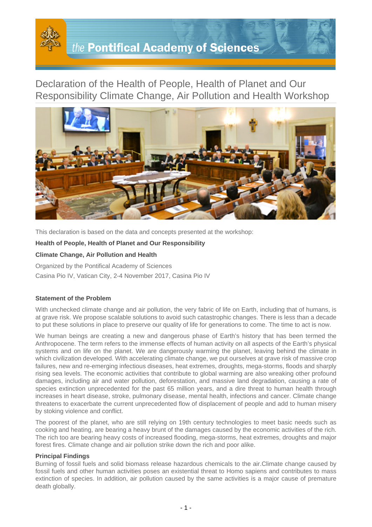# the Pontifical Academy of Sciences

Declaration of the Health of People, Health of Planet and Our Responsibility Climate Change, Air Pollution and Health Workshop



This declaration is based on the data and concepts presented at the workshop:

# **Health of People, Health of Planet and Our Responsibility**

# **Climate Change, Air Pollution and Health**

Organized by the Pontifical Academy of Sciences

Casina Pio IV, Vatican City, 2-4 November 2017, Casina Pio IV

## **Statement of the Problem**

With unchecked climate change and air pollution, the very fabric of life on Earth, including that of humans, is at grave risk. We propose scalable solutions to avoid such catastrophic changes. There is less than a decade to put these solutions in place to preserve our quality of life for generations to come. The time to act is now.

We human beings are creating a new and dangerous phase of Earth's history that has been termed the Anthropocene. The term refers to the immense effects of human activity on all aspects of the Earth's physical systems and on life on the planet. We are dangerously warming the planet, leaving behind the climate in which civilization developed. With accelerating climate change, we put ourselves at grave risk of massive crop failures, new and re-emerging infectious diseases, heat extremes, droughts, mega-storms, floods and sharply rising sea levels. The economic activities that contribute to global warming are also wreaking other profound damages, including air and water pollution, deforestation, and massive land degradation, causing a rate of species extinction unprecedented for the past 65 million years, and a dire threat to human health through increases in heart disease, stroke, pulmonary disease, mental health, infections and cancer. Climate change threatens to exacerbate the current unprecedented flow of displacement of people and add to human misery by stoking violence and conflict.

The poorest of the planet, who are still relying on 19th century technologies to meet basic needs such as cooking and heating, are bearing a heavy brunt of the damages caused by the economic activities of the rich. The rich too are bearing heavy costs of increased flooding, mega-storms, heat extremes, droughts and major forest fires. Climate change and air pollution strike down the rich and poor alike.

## **Principal Findings**

Burning of fossil fuels and solid biomass release hazardous chemicals to the air.Climate change caused by fossil fuels and other human activities poses an existential threat to Homo sapiens and contributes to mass extinction of species. In addition, air pollution caused by the same activities is a major cause of premature death globally.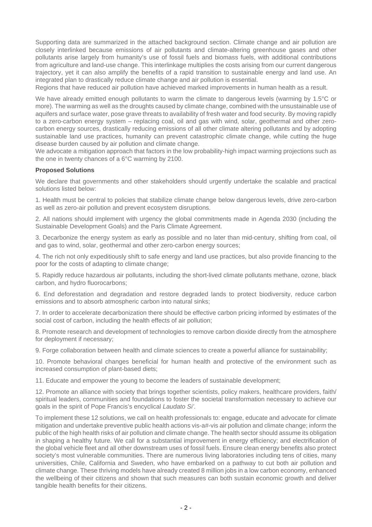Supporting data are summarized in the attached background section. Climate change and air pollution are closely interlinked because emissions of air pollutants and climate-altering greenhouse gases and other pollutants arise largely from humanity's use of fossil fuels and biomass fuels, with additional contributions from agriculture and land-use change. This interlinkage multiplies the costs arising from our current dangerous trajectory, yet it can also amplify the benefits of a rapid transition to sustainable energy and land use. An integrated plan to drastically reduce climate change and air pollution is essential.

Regions that have reduced air pollution have achieved marked improvements in human health as a result.

We have already emitted enough pollutants to warm the climate to dangerous levels (warming by 1.5°C or more). The warming as well as the droughts caused by climate change, combined with the unsustainable use of aquifers and surface water, pose grave threats to availability of fresh water and food security. By moving rapidly to a zero-carbon energy system – replacing coal, oil and gas with wind, solar, geothermal and other zerocarbon energy sources, drastically reducing emissions of all other climate altering pollutants and by adopting sustainable land use practices, humanity can prevent catastrophic climate change, while cutting the huge disease burden caused by air pollution and climate change.

We advocate a mitigation approach that factors in the low probability-high impact warming projections such as the one in twenty chances of a 6°C warming by 2100.

## **Proposed Solutions**

We declare that governments and other stakeholders should urgently undertake the scalable and practical solutions listed below:

1. Health must be central to policies that stabilize climate change below dangerous levels, drive zero-carbon as well as zero-air pollution and prevent ecosystem disruptions.

2. All nations should implement with urgency the global commitments made in Agenda 2030 (including the Sustainable Development Goals) and the Paris Climate Agreement.

3. Decarbonize the energy system as early as possible and no later than mid-century, shifting from coal, oil and gas to wind, solar, geothermal and other zero-carbon energy sources;

4. The rich not only expeditiously shift to safe energy and land use practices, but also provide financing to the poor for the costs of adapting to climate change;

5. Rapidly reduce hazardous air pollutants, including the short-lived climate pollutants methane, ozone, black carbon, and hydro fluorocarbons;

6. End deforestation and degradation and restore degraded lands to protect biodiversity, reduce carbon emissions and to absorb atmospheric carbon into natural sinks;

7. In order to accelerate decarbonization there should be effective carbon pricing informed by estimates of the social cost of carbon, including the health effects of air pollution;

8. Promote research and development of technologies to remove carbon dioxide directly from the atmosphere for deployment if necessary;

9. Forge collaboration between health and climate sciences to create a powerful alliance for sustainability;

10. Promote behavioral changes beneficial for human health and protective of the environment such as increased consumption of plant-based diets;

11. Educate and empower the young to become the leaders of sustainable development;

12. Promote an alliance with society that brings together scientists, policy makers, healthcare providers, faith/ spiritual leaders, communities and foundations to foster the societal transformation necessary to achieve our goals in the spirit of Pope Francis's encyclical Laudato Si'.

To implement these 12 solutions, we call on health professionals to: engage, educate and advocate for climate mitigation and undertake preventive public health actions vis-a#-vis air pollution and climate change; inform the public of the high health risks of air pollution and climate change. The health sector should assume its obligation in shaping a healthy future. We call for a substantial improvement in energy efficiency; and electrification of the global vehicle fleet and all other downstream uses of fossil fuels. Ensure clean energy benefits also protect society's most vulnerable communities. There are numerous living laboratories including tens of cities, many universities, Chile, California and Sweden, who have embarked on a pathway to cut both air pollution and climate change. These thriving models have already created 8 million jobs in a low carbon economy, enhanced the wellbeing of their citizens and shown that such measures can both sustain economic growth and deliver tangible health benefits for their citizens.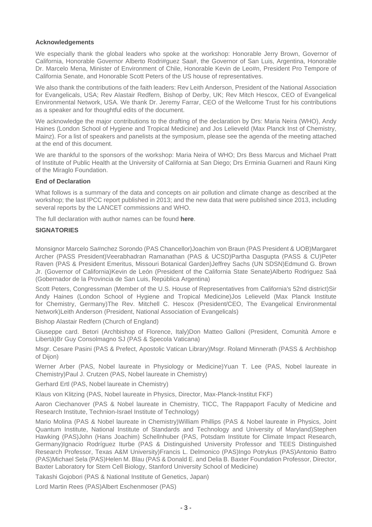#### **Acknowledgements**

We especially thank the global leaders who spoke at the workshop: Honorable Jerry Brown, Governor of California, Honorable Governor Alberto Rodri#guez Saa#, the Governor of San Luis, Argentina, Honorable Dr. Marcelo Mena, Minister of Environment of Chile, Honorable Kevin de Leo#n, President Pro Tempore of California Senate, and Honorable Scott Peters of the US house of representatives.

We also thank the contributions of the faith leaders: Rev Leith Anderson, President of the National Association for Evangelicals, USA; Rev Alastair Redfern, Bishop of Derby, UK; Rev Mitch Hescox, CEO of Evangelical Environmental Network, USA. We thank Dr. Jeremy Farrar, CEO of the Wellcome Trust for his contributions as a speaker and for thoughtful edits of the document.

We acknowledge the major contributions to the drafting of the declaration by Drs: Maria Neira (WHO), Andy Haines (London School of Hygiene and Tropical Medicine) and Jos Lelieveld (Max Planck Inst of Chemistry, Mainz). For a list of speakers and panelists at the symposium, please see the agenda of the meeting attached at the end of this document.

We are thankful to the sponsors of the workshop: Maria Neira of WHO; Drs Bess Marcus and Michael Pratt of Institute of Public Health at the University of California at San Diego; Drs Erminia Guarneri and Rauni King of the Miraglo Foundation.

#### **End of Declaration**

What follows is a summary of the data and concepts on air pollution and climate change as described at the workshop; the last IPCC report published in 2013; and the new data that were published since 2013, including several reports by the LANCET commissions and WHO.

The full declaration with author names can be found **here**.

#### **SIGNATORIES**

Monsignor Marcelo Sa#nchez Sorondo (PAS Chancellor)Joachim von Braun (PAS President & UOB)Margaret Archer (PASS President)Veerabhadran Ramanathan (PAS & UCSD)Partha Dasgupta (PASS & CU)Peter Raven (PAS & President Emeritus, Missouri Botanical Garden)Jeffrey Sachs (UN SDSN)Edmund G. Brown Jr. (Governor of California)Kevin de León (President of the California State Senate)Alberto Rodriguez Saá (Gobernador de la Provincia de San Luis, República Argentina)

Scott Peters, Congressman (Member of the U.S. House of Representatives from California's 52nd district)Sir Andy Haines (London School of Hygiene and Tropical Medicine)Jos Lelieveld (Max Planck Institute for Chemistry, Germany)The Rev. Mitchell C. Hescox (President/CEO, The Evangelical Environmental Network)Leith Anderson (President, National Association of Evangelicals)

Bishop Alastair Redfern (Church of England)

Giuseppe card. Betori (Archbishop of Florence, Italy)Don Matteo Galloni (President, Comunità Amore e Libertà)Br Guy Consolmagno SJ (PAS & Specola Vaticana)

Msgr. Cesare Pasini (PAS & Prefect, Apostolic Vatican Library)Msgr. Roland Minnerath (PASS & Archbishop of Dijon)

Werner Arber (PAS, Nobel laureate in Physiology or Medicine)Yuan T. Lee (PAS, Nobel laureate in Chemistry)Paul J. Crutzen (PAS, Nobel laureate in Chemistry)

Gerhard Ertl (PAS, Nobel laureate in Chemistry)

Klaus von Klitzing (PAS, Nobel laureate in Physics, Director, Max-Planck-Institut FKF)

Aaron Ciechanover (PAS & Nobel laureate in Chemistry, TICC, The Rappaport Faculty of Medicine and Research Institute, Technion-Israel Institute of Technology)

Mario Molina (PAS & Nobel laureate in Chemistry)William Phillips (PAS & Nobel laureate in Physics, Joint Quantum Institute, National Institute of Standards and Technology and University of Maryland)Stephen Hawking (PAS)John (Hans Joachim) Schellnhuber (PAS, Potsdam Institute for Climate Impact Research, Germany)Ignacio Rodríguez Iturbe (PAS & Distinguished University Professor and TEES Distinguished Research Professor, Texas A&M University)Francis L. Delmonico (PAS)Ingo Potrykus (PAS)Antonio Battro (PAS)Michael Sela (PAS)Helen M. Blau (PAS & Donald E. and Delia B. Baxter Foundation Professor, Director, Baxter Laboratory for Stem Cell Biology, Stanford University School of Medicine)

Takashi Gojobori (PAS & National Institute of Genetics, Japan)

Lord Martin Rees (PAS)Albert Eschenmoser (PAS)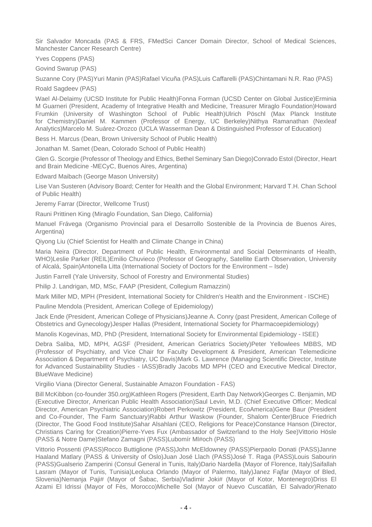Sir Salvador Moncada (PAS & FRS, FMedSci Cancer Domain Director, School of Medical Sciences, Manchester Cancer Research Centre)

Yves Coppens (PAS)

Govind Swarup (PAS)

Suzanne Cory (PAS)Yuri Manin (PAS)Rafael Vicuña (PAS)Luis Caffarelli (PAS)Chintamani N.R. Rao (PAS)

Roald Sagdeev (PAS)

Wael Al-Delaimy (UCSD Institute for Public Health)Fonna Forman (UCSD Center on Global Justice)Erminia M Guarneri (President, Academy of Integrative Health and Medicine, Treasurer Miraglo Foundation)Howard Frumkin (University of Washington School of Public Health)Ulrich Pöschl (Max Planck Institute for Chemistry)Daniel M. Kammen (Professor of Energy, UC Berkeley)Nithya Ramanathan (Nexleaf Analytics)Marcelo M. Suárez-Orozco (UCLA Wasserman Dean & Distinguished Professor of Education)

Bess H. Marcus (Dean, Brown University School of Public Health)

Jonathan M. Samet (Dean, Colorado School of Public Health)

Glen G. Scorgie (Professor of Theology and Ethics, Bethel Seminary San Diego)Conrado Estol (Director, Heart and Brain Medicine -MECyC, Buenos Aires, Argentina)

Edward Maibach (George Mason University)

Lise Van Susteren (Advisory Board; Center for Health and the Global Environment; Harvard T.H. Chan School of Public Health)

Jeremy Farrar (Director, Wellcome Trust)

Rauni Prittinen King (Miraglo Foundation, San Diego, California)

Manuel Frávega (Organismo Provincial para el Desarrollo Sostenible de la Provincia de Buenos Aires, Argentina)

Qiyong Liu (Chief Scientist for Health and Climate Change in China)

Maria Neira (Director, Department of Public Health, Environmental and Social Determinants of Health, WHO)Leslie Parker (REIL)Emilio Chuvieco (Professor of Geography, Satellite Earth Observation, University of Alcalá, Spain)Antonella Litta (International Society of Doctors for the Environment – Isde)

Justin Farrell (Yale University, School of Forestry and Environmental Studies)

Philip J. Landrigan, MD, MSc, FAAP (President, Collegium Ramazzini)

Mark Miller MD, MPH (President, International Society for Children's Health and the Environment - ISCHE)

Pauline Mendola (President, American College of Epidemiology)

Jack Ende (President, American College of Physicians)Jeanne A. Conry (past President, American College of Obstetrics and Gynecology)Jesper Hallas (President, International Society for Pharmacoepidemiology)

Manolis Kogevinas, MD, PhD (President, International Society for Environmental Epidemiology - ISEE)

Debra Saliba, MD, MPH, AGSF (President, American Geriatrics Society)Peter Yellowlees MBBS, MD (Professor of Psychiatry, and Vice Chair for Faculty Development & President, American Telemedicine Association & Department of Psychiatry, UC Davis)Mark G. Lawrence (Managing Scientific Director, Institute for Advanced Sustainability Studies - IASS)Bradly Jacobs MD MPH (CEO and Executive Medical Director, BlueWave Medicine)

Virgilio Viana (Director General, Sustainable Amazon Foundation - FAS)

Bill McKibbon (co-founder 350.org)Kathleen Rogers (President, Earth Day Network)Georges C. Benjamin, MD (Executive Director, American Public Health Association)Saul Levin, M.D. (Chief Executive Officer; Medical Director, American Psychiatric Association)Robert Perkowitz (President, EcoAmerica)Gene Baur (President and Co-Founder, The Farm Sanctuary)Rabbi Arthur Waskow (Founder, Shalom Center)Bruce Friedrich (Director, The Good Food Institute)Sahar Alsahlani (CEO, Religions for Peace)Constance Hanson (Director, Christians Caring for Creation)Pierre-Yves Fux (Ambassador of Switzerland to the Holy See)Vittorio Hösle (PASS & Notre Dame)Stefano Zamagni (PASS)Lubomír Ml#och (PASS)

Vittorio Possenti (PASS)Rocco Buttiglione (PASS)John McEldowney (PASS)Pierpaolo Donati (PASS)Janne Haaland Matlary (PASS & University of Oslo)Juan José Llach (PASS)José T. Raga (PASS)Louis Sabourin (PASS)Gualserio Zamperini (Consul General in Tunis, Italy)Dario Nardella (Mayor of Florence, Italy)Saifallah Lasram (Mayor of Tunis, Tunisia)Leoluca Orlando (Mayor of Palermo, Italy)Janez Fajfar (Mayor of Bled, Slovenia)Nemanja Paji# (Mayor of Šabac, Serbia)Vladimir Joki# (Mayor of Kotor, Montenegro)Driss El Azami El Idrissi (Mayor of Fès, Morocco)Michelle Sol (Mayor of Nuevo Cuscatlán, El Salvador)Renato